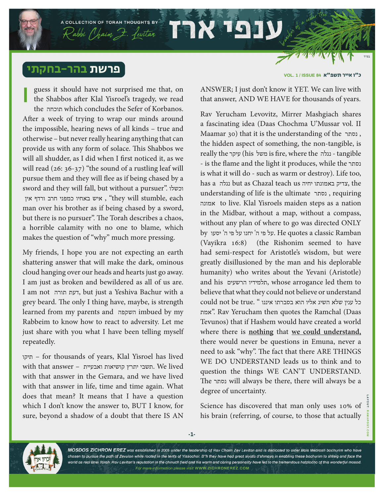## פרשת בהר-בחקתי

guess it should have not surprised me that, on the Shabbos after Klal Yisroel's tragedy, we read the תוכחה which concludes the Sefer of Korbanos. After a week of trying to wrap our minds around the impossible, hearing news of all kinds – true and otherwise – but never really hearing anything that can provide us with any form of solace. This Shabbos we will all shudder, as I did when I first noticed it, as we will read (26: 36-37) "the sound of a rustling leaf will pursue them and they will flee as if being chased by a sword and they will fall, but without a pursuer". וכשלו ין, איש באחיו כמפני חרב ורדף אין "they will stumble, each man over his brother as if being chased by a sword, but there is no pursuer". The Torah describes a chaos, a horrible calamity with no one to blame, which makes the question of "why" much more pressing. **I**

A COLLECTION OF TORAH THOUGHTS BY

 $R$ abbi Chaim  $P$ . Levitar  $\blacksquare$ 

My friends, I hope you are not expecting an earth shattering answer that will make the dark, ominous cloud hanging over our heads and hearts just go away. I am just as broken and bewildered as all of us are. I am not תורה דעת, but just a Yeshiva Bachur with a grey beard. The only I thing have, maybe, is strength learned from my parents and השקפה imbued by my Rabbeim to know how to react to adversity. Let me just share with you what I have been telling myself repeatedly.

תיקו – for thousands of years, Klal Yisroel has lived with that answer – ואבעיית קושיאות יתרץ תשבי. We lived with that answer in the Gemara, and we have lived with that answer in life, time and time again. What does that mean? It means that I have a question which I don't know the answer to, BUT I know, for sure, beyond a shadow of a doubt that there IS AN

כ״ו אייר תשפ"א **84 ISSUE / 1 .VOL**

ANSWER; I just don't know it YET. We can live with that answer, AND WE HAVE for thousands of years.

Rav Yerucham Levovitz, Mirrer Mashgiach shares a fascinating idea (Daas Chochma U'Mussar vol. II Maamar 30) that it is the understanding of the נסתר , the hidden aspect of something, the non-tangible, is really the עיקר) his משל is fire, where the נגלה - tangible - is the flame and the light it produces, while the נסתר is what it will do - such as warm or destroy). Life too, has a נגלה but as Chazal teach us יחיה באמונתו צדיק, the understanding of life is the ultimate נסתר , requiring אמונה to live. Klal Yisroels maiden steps as a nation in the Midbar, without a map, without a compass, without any plan of where to go was directed ONLY by על פי ה' יחנו על פי ה' יסעו. He quotes a classic Ramban (Vayikra 16:8) (the Rishonim seemed to have had semi-respect for Aristotle's wisdom, but were greatly disillusioned by the man and his deplorable humanity) who writes about the Yevani (Aristotle) and his הרשעים תלמידיו, whose arrogance led them to believe that what they could not believe or understand כל ענין שלא השיג אליו הוא בסברתו איננו " .true be not could אמת". Rav Yerucham then quotes the Ramchal (Daas Tevunos) that if Hashem would have created a world where there is **nothing** that **we could understand,** there would never be questions in Emuna, never a need to ask "why". The fact that there ARE THINGS WE DO UNDERSTAND leads us to think and to question the things WE CAN'T UNDERSTAND. The נסתר will always be there, there will always be a degree of uncertainty.

Science has discovered that man only uses 10% of his brain (referring, of course, to those that actually



MOSDOS ZICHRON EREZ was established in 2005 under the leadership of Rav Chaim Zev Levitan and is dedicated to older Bais Medrash bochurim who have chosen to pursue the path of Zevulon while rooted in the tents of Yissochor. B"h they have had great siyata d'shmaya in enabling these bochurim to shteig and face the world as real Bnei Torah. Rav Levitan's reputation in the chinuch field and his warm and caring personality have led to the tremendous hatzlocho of this wonderful mosod. For more information please visit WWW.ZICHRONEREZ.COM

**-1-**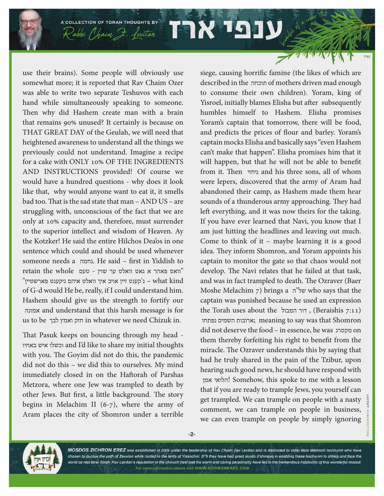A COLLECTION OF TORAH THOUGHTS BY  $\mathcal{R}$ abbi (haim  $\mathcal{F}$ . fevitar  $\mathcal{F}$ 

use their brains). Some people will obviously use somewhat more; it is reported that Rav Chaim Ozer was able to write two separate Teshuvos with each hand while simultaneously speaking to someone. Then why did Hashem create man with a brain that remains 90% unused? It certainly is because on THAT GREAT DAY of the Geulah, we will need that heightened awareness to understand all the things we previously could not understand. Imagine a recipe for a cake with ONLY 10% OF THE INGREDIENTS AND INSTRUCTIONS provided! Of course we would have a hundred questions - why does it look like that, why would anyone want to eat it, it smells bad too. That is the sad state that man – AND US – are struggling with, unconscious of the fact that we are only at 10% capacity and, therefore, must surrender to the superior intellect and wisdom of Heaven. Ay the Kotzker! He said the entire Hilchos Dea'os in one sentence which could and should be used whenever someone needs a נחמה. He said – first in Yiddish to  $r$  retain the whole  $\sigma$  - וואלט ער שוין  $\sigma$ "הענט זיין אויב איך וואלט איהם גיקענט פארשטיין - what kind of G-d would He be, really, if I could understand him. Hashem should give us the strength to fortify our אמונה and understand that this harsh message is for us to be לבך ואמץ חזק in whatever we need Chizuk in.

That Pasuk keeps on bouncing through my head - באחיו איש וכשלו and I'd like to share my initial thoughts with you. The Goyim did not do this, the pandemic did not do this – we did this to ourselves. My mind immediately closed in on the Haftorah of Parshas Metzora, where one Jew was trampled to death by other Jews. But first, a little background. The story begins in Melachim II (6-7), where the army of Aram places the city of Shomron under a terrible siege, causing horrific famine (the likes of which are described in the תוכחה of mothers driven mad enough to consume their own children). Yoram, king of Yisroel, initially blames Elisha but after subsequently humbles himself to Hashem. Elisha promises Yoram's captain that tomorrow, there will be food, and predicts the prices of flour and barley. Yoram's captain mocks Elisha and basically says "even Hashem can't make that happen". Elisha promises him that it will happen, but that he will not be able to benefit from it. Then גיחזי and his three sons, all of whom were lepers, discovered that the army of Aram had abandoned their camp, as Hashem made them hear sounds of a thunderous army approaching. They had left everything, and it was now theirs for the taking. If you have ever learned that Navi, you know that I am just hitting the headlines and leaving out much. Come to think of it – maybe learning it is a good idea. They inform Shomron, and Yoram appoints his captain to monitor the gate so that chaos would not develop. The Navi relates that he failed at that task, and was in fact trampled to death. The Ozraver (Baer Moshe Melachim 7) brings a ה"של who says that the captain was punished because he used an expression the Torah uses about the הומבול, (Beraishis 7:11) נפתחו השמים ארובות ;meaning to say was that Shomron did not deserve the food – in essence, he was מקטרג on them thereby forfeiting his right to benefit from the miracle. The Ozraver understands this by saying that had he truly shared in the pain of the Tzibur, upon hearing such good news, he should have respond with אמן הלואי !Somehow, this spoke to me with a lesson that if you are ready to trample Jews, you yourself can get trampled. We can trample on people with a nasty comment, we can trample on people in business, we can even trample on people by simply ignoring

**-2-**



MOSDOS ZICHRON EREZ was established in 2005 under the leadership of Rav Chaim Zev Levitan and is dedicated to older Bais Medrash bochurim who have chosen to pursue the path of Zevulon while rooted in the tents of Yissochor. B"h they have had great siyata d'shmaya in enabling these bochurim to shteig and face the world as real Bnei Torah. Rav Levitan's reputation in the chinuch field and his warm and caring personality have led to the tremendous hatzlocho of this wonderful mosod. For more information please visit WWW.ZICHRONEREZ.COM